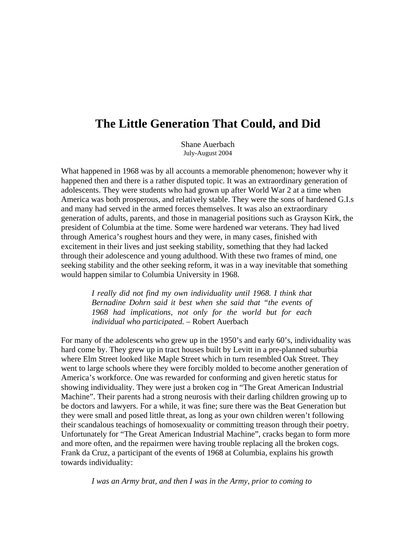## **The Little Generation That Could, and Did**

Shane Auerbach July-August 2004

What happened in 1968 was by all accounts a memorable phenomenon; however why it happened then and there is a rather disputed topic. It was an extraordinary generation of adolescents. They were students who had grown up after World War 2 at a time when America was both prosperous, and relatively stable. They were the sons of hardened G.I.s and many had served in the armed forces themselves. It was also an extraordinary generation of adults, parents, and those in managerial positions such as Grayson Kirk, the president of Columbia at the time. Some were hardened war veterans. They had lived through America's roughest hours and they were, in many cases, finished with excitement in their lives and just seeking stability, something that they had lacked through their adolescence and young adulthood. With these two frames of mind, one seeking stability and the other seeking reform, it was in a way inevitable that something would happen similar to Columbia University in 1968.

> *I really did not find my own individuality until 1968. I think that Bernadine Dohrn said it best when she said that "the events of 1968 had implications, not only for the world but for each individual who participated. –* Robert Auerbach

For many of the adolescents who grew up in the 1950's and early 60's, individuality was hard come by. They grew up in tract houses built by Levitt in a pre-planned suburbia where Elm Street looked like Maple Street which in turn resembled Oak Street. They went to large schools where they were forcibly molded to become another generation of America's workforce. One was rewarded for conforming and given heretic status for showing individuality. They were just a broken cog in "The Great American Industrial Machine". Their parents had a strong neurosis with their darling children growing up to be doctors and lawyers. For a while, it was fine; sure there was the Beat Generation but they were small and posed little threat, as long as your own children weren't following their scandalous teachings of homosexuality or committing treason through their poetry. Unfortunately for "The Great American Industrial Machine", cracks began to form more and more often, and the repairmen were having trouble replacing all the broken cogs. Frank da Cruz, a participant of the events of 1968 at Columbia, explains his growth towards individuality:

*I was an Army brat, and then I was in the Army, prior to coming to*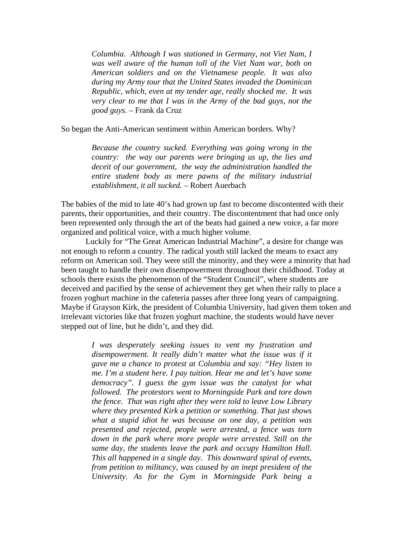*Columbia. Although I was stationed in Germany, not Viet Nam, I was well aware of the human toll of the Viet Nam war, both on American soldiers and on the Vietnamese people. It was also during my Army tour that the United States invaded the Dominican Republic, which, even at my tender age, really shocked me. It was very clear to me that I was in the Army of the bad guys, not the good guys.* – Frank da Cruz

So began the Anti-American sentiment within American borders. Why?

*Because the country sucked. Everything was going wrong in the country: the way our parents were bringing us up, the lies and deceit of our government, the way the administration handled the entire student body as mere pawns of the military industrial establishment, it all sucked. –* Robert Auerbach

The babies of the mid to late 40's had grown up fast to become discontented with their parents, their opportunities, and their country. The discontentment that had once only been represented only through the art of the beats had gained a new voice, a far more organized and political voice, with a much higher volume.

Luckily for "The Great American Industrial Machine", a desire for change was not enough to reform a country. The radical youth still lacked the means to exact any reform on American soil. They were still the minority, and they were a minority that had been taught to handle their own disempowerment throughout their childhood. Today at schools there exists the phenomenon of the "Student Council", where students are deceived and pacified by the sense of achievement they get when their rally to place a frozen yoghurt machine in the cafeteria passes after three long years of campaigning. Maybe if Grayson Kirk, the president of Columbia University, had given them token and irrelevant victories like that frozen yoghurt machine, the students would have never stepped out of line, but he didn't, and they did.

*I was desperately seeking issues to vent my frustration and disempowerment. It really didn't matter what the issue was if it gave me a chance to protest at Columbia and say: "Hey listen to me. I'm a student here. I pay tuition. Hear me and let's have some democracy". I guess the gym issue was the catalyst for what followed. The protestors went to Morningside Park and tore down the fence. That was right after they were told to leave Low Library where they presented Kirk a petition or something. That just shows what a stupid idiot he was because on one day, a petition was presented and rejected, people were arrested, a fence was torn down in the park where more people were arrested. Still on the same day, the students leave the park and occupy Hamilton Hall. This all happened in a single day. This downward spiral of events, from petition to militancy, was caused by an inept president of the University. As for the Gym in Morningside Park being a*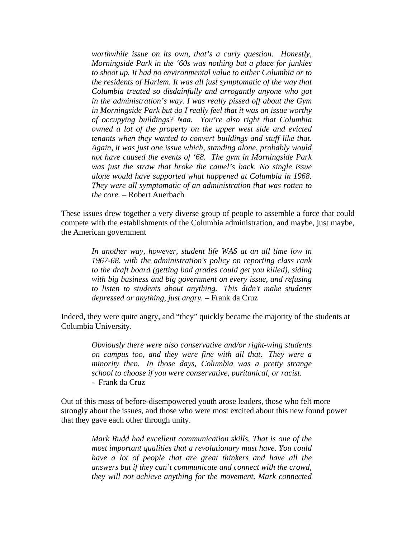*worthwhile issue on its own, that's a curly question. Honestly, Morningside Park in the '60s was nothing but a place for junkies to shoot up. It had no environmental value to either Columbia or to the residents of Harlem. It was all just symptomatic of the way that Columbia treated so disdainfully and arrogantly anyone who got in the administration's way. I was really pissed off about the Gym in Morningside Park but do I really feel that it was an issue worthy of occupying buildings? Naa. You're also right that Columbia owned a lot of the property on the upper west side and evicted tenants when they wanted to convert buildings and stuff like that. Again, it was just one issue which, standing alone, probably would not have caused the events of '68. The gym in Morningside Park was just the straw that broke the camel's back. No single issue alone would have supported what happened at Columbia in 1968. They were all symptomatic of an administration that was rotten to the core. –* Robert Auerbach

These issues drew together a very diverse group of people to assemble a force that could compete with the establishments of the Columbia administration, and maybe, just maybe, the American government

> *In another way, however, student life WAS at an all time low in 1967-68, with the administration's policy on reporting class rank to the draft board (getting bad grades could get you killed), siding with big business and big government on every issue, and refusing to listen to students about anything. This didn't make students depressed or anything, just angry. –* Frank da Cruz

Indeed, they were quite angry, and "they" quickly became the majority of the students at Columbia University.

> *Obviously there were also conservative and/or right-wing students on campus too, and they were fine with all that. They were a minority then. In those days, Columbia was a pretty strange school to choose if you were conservative, puritanical, or racist.* - Frank da Cruz

Out of this mass of before-disempowered youth arose leaders, those who felt more strongly about the issues, and those who were most excited about this new found power that they gave each other through unity.

> *Mark Rudd had excellent communication skills. That is one of the most important qualities that a revolutionary must have. You could have a lot of people that are great thinkers and have all the answers but if they can't communicate and connect with the crowd, they will not achieve anything for the movement. Mark connected*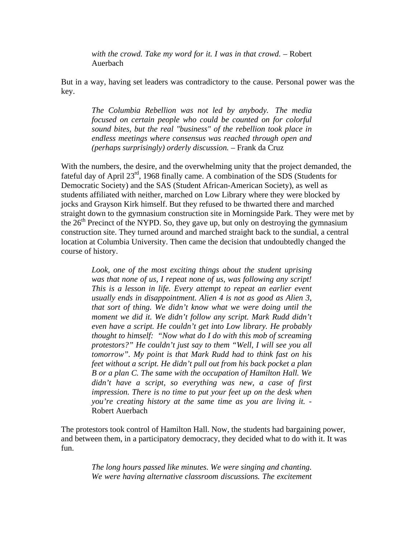*with the crowd. Take my word for it. I was in that crowd.* – Robert Auerbach

But in a way, having set leaders was contradictory to the cause. Personal power was the key.

*The Columbia Rebellion was not led by anybody. The media focused on certain people who could be counted on for colorful sound bites, but the real "business" of the rebellion took place in endless meetings where consensus was reached through open and (perhaps surprisingly) orderly discussion. –* Frank da Cruz

With the numbers, the desire, and the overwhelming unity that the project demanded, the fateful day of April 23rd, 1968 finally came. A combination of the SDS (Students for Democratic Society) and the SAS (Student African-American Society), as well as students affiliated with neither, marched on Low Library where they were blocked by jocks and Grayson Kirk himself. But they refused to be thwarted there and marched straight down to the gymnasium construction site in Morningside Park. They were met by the  $26<sup>th</sup>$  Precinct of the NYPD. So, they gave up, but only on destroying the gymnasium construction site. They turned around and marched straight back to the sundial, a central location at Columbia University. Then came the decision that undoubtedly changed the course of history.

*Look, one of the most exciting things about the student uprising was that none of us, I repeat none of us, was following any script! This is a lesson in life. Every attempt to repeat an earlier event usually ends in disappointment. Alien 4 is not as good as Alien 3, that sort of thing. We didn't know what we were doing until the moment we did it. We didn't follow any script. Mark Rudd didn't even have a script. He couldn't get into Low library. He probably thought to himself: "Now what do I do with this mob of screaming protestors?" He couldn't just say to them "Well, I will see you all tomorrow". My point is that Mark Rudd had to think fast on his feet without a script. He didn't pull out from his back pocket a plan B or a plan C. The same with the occupation of Hamilton Hall. We didn't have a script, so everything was new, a case of first impression. There is no time to put your feet up on the desk when you're creating history at the same time as you are living it.* - Robert Auerbach

The protestors took control of Hamilton Hall. Now, the students had bargaining power, and between them, in a participatory democracy, they decided what to do with it. It was fun.

> *The long hours passed like minutes. We were singing and chanting. We were having alternative classroom discussions. The excitement*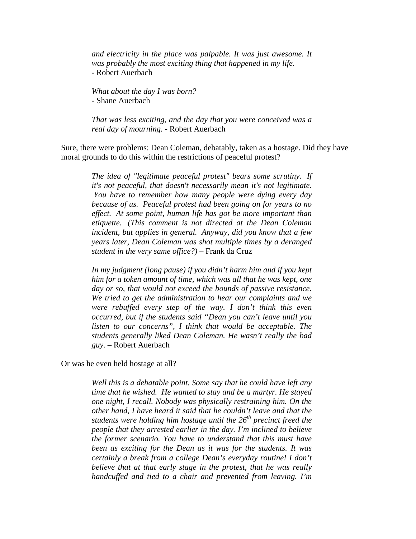*and electricity in the place was palpable. It was just awesome. It was probably the most exciting thing that happened in my life.* - Robert Auerbach

*What about the day I was born?* - Shane Auerbach

*That was less exciting, and the day that you were conceived was a real day of mourning.* - Robert Auerbach

Sure, there were problems: Dean Coleman, debatably, taken as a hostage. Did they have moral grounds to do this within the restrictions of peaceful protest?

> *The idea of "legitimate peaceful protest" bears some scrutiny. If it's not peaceful, that doesn't necessarily mean it's not legitimate. You have to remember how many people were dying every day because of us. Peaceful protest had been going on for years to no effect. At some point, human life has got be more important than etiquette. (This comment is not directed at the Dean Coleman incident, but applies in general. Anyway, did you know that a few years later, Dean Coleman was shot multiple times by a deranged student in the very same office?)* – Frank da Cruz

> *In my judgment (long pause) if you didn't harm him and if you kept him for a token amount of time, which was all that he was kept, one day or so, that would not exceed the bounds of passive resistance. We tried to get the administration to hear our complaints and we were rebuffed every step of the way. I don't think this even occurred, but if the students said "Dean you can't leave until you listen to our concerns", I think that would be acceptable. The students generally liked Dean Coleman. He wasn't really the bad guy.* – Robert Auerbach

Or was he even held hostage at all?

*Well this is a debatable point. Some say that he could have left any time that he wished. He wanted to stay and be a martyr. He stayed one night, I recall. Nobody was physically restraining him. On the other hand, I have heard it said that he couldn't leave and that the students were holding him hostage until the 26th precinct freed the people that they arrested earlier in the day. I'm inclined to believe the former scenario. You have to understand that this must have been as exciting for the Dean as it was for the students. It was certainly a break from a college Dean's everyday routine! I don't believe that at that early stage in the protest, that he was really handcuffed and tied to a chair and prevented from leaving. I'm*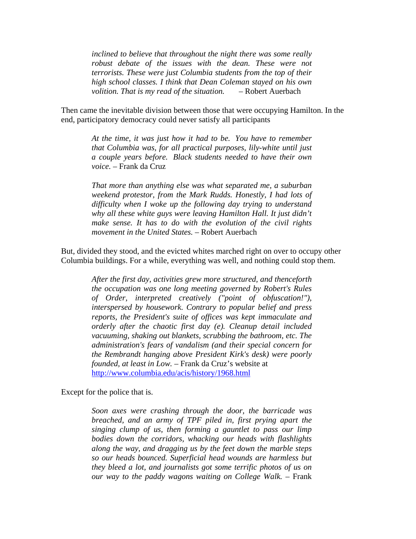*inclined to believe that throughout the night there was some really robust debate of the issues with the dean. These were not terrorists. These were just Columbia students from the top of their high school classes. I think that Dean Coleman stayed on his own volition. That is my read of the situation.* – Robert Auerbach

Then came the inevitable division between those that were occupying Hamilton. In the end, participatory democracy could never satisfy all participants

> *At the time, it was just how it had to be. You have to remember that Columbia was, for all practical purposes, lily-white until just a couple years before. Black students needed to have their own voice.* – Frank da Cruz

> *That more than anything else was what separated me, a suburban weekend protestor, from the Mark Rudds. Honestly, I had lots of difficulty when I woke up the following day trying to understand why all these white guys were leaving Hamilton Hall. It just didn't make sense. It has to do with the evolution of the civil rights movement in the United States. –* Robert Auerbach

But, divided they stood, and the evicted whites marched right on over to occupy other Columbia buildings. For a while, everything was well, and nothing could stop them.

> *After the first day, activities grew more structured, and thenceforth the occupation was one long meeting governed by Robert's Rules of Order, interpreted creatively ("point of obfuscation!"), interspersed by housework. Contrary to popular belief and press reports, the President's suite of offices was kept immaculate and orderly after the chaotic first day (e). Cleanup detail included vacuuming, shaking out blankets, scrubbing the bathroom, etc. The administration's fears of vandalism (and their special concern for the Rembrandt hanging above President Kirk's desk) were poorly founded, at least in Low.* – Frank da Cruz's website at http://www.columbia.edu/acis/history/1968.html

Except for the police that is.

*Soon axes were crashing through the door, the barricade was breached, and an army of TPF piled in, first prying apart the singing clump of us, then forming a gauntlet to pass our limp bodies down the corridors, whacking our heads with flashlights along the way, and dragging us by the feet down the marble steps so our heads bounced. Superficial head wounds are harmless but they bleed a lot, and journalists got some terrific photos of us on our way to the paddy wagons waiting on College Walk.* – Frank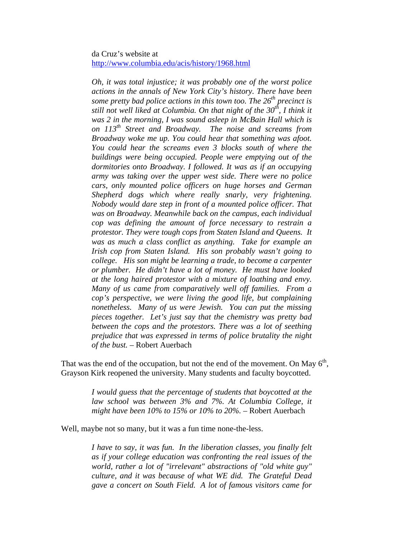## da Cruz's website at http://www.columbia.edu/acis/history/1968.html

*Oh, it was total injustice; it was probably one of the worst police actions in the annals of New York City's history. There have been some pretty bad police actions in this town too. The 26<sup>th</sup> precinct is still not well liked at Columbia. On that night of the 30th, I think it was 2 in the morning, I was sound asleep in McBain Hall which is on 113th Street and Broadway. The noise and screams from Broadway woke me up. You could hear that something was afoot. You could hear the screams even 3 blocks south of where the buildings were being occupied. People were emptying out of the dormitories onto Broadway. I followed. It was as if an occupying army was taking over the upper west side. There were no police cars, only mounted police officers on huge horses and German Shepherd dogs which where really snarly, very frightening. Nobody would dare step in front of a mounted police officer. That was on Broadway. Meanwhile back on the campus, each individual cop was defining the amount of force necessary to restrain a protestor. They were tough cops from Staten Island and Queens. It was as much a class conflict as anything. Take for example an Irish cop from Staten Island. His son probably wasn't going to college. His son might be learning a trade, to become a carpenter or plumber. He didn't have a lot of money. He must have looked at the long haired protestor with a mixture of loathing and envy. Many of us came from comparatively well off families. From a cop's perspective, we were living the good life, but complaining nonetheless. Many of us were Jewish. You can put the missing pieces together. Let's just say that the chemistry was pretty bad between the cops and the protestors. There was a lot of seething prejudice that was expressed in terms of police brutality the night of the bust.* – Robert Auerbach

That was the end of the occupation, but not the end of the movement. On May  $6<sup>th</sup>$ , Grayson Kirk reopened the university. Many students and faculty boycotted.

> *I would guess that the percentage of students that boycotted at the law school was between 3% and 7%. At Columbia College, it might have been 10% to 15% or 10% to 20%.* – Robert Auerbach

Well, maybe not so many, but it was a fun time none-the-less.

*I have to say, it was fun. In the liberation classes, you finally felt as if your college education was confronting the real issues of the world, rather a lot of "irrelevant" abstractions of "old white guy" culture, and it was because of what WE did. The Grateful Dead gave a concert on South Field. A lot of famous visitors came for*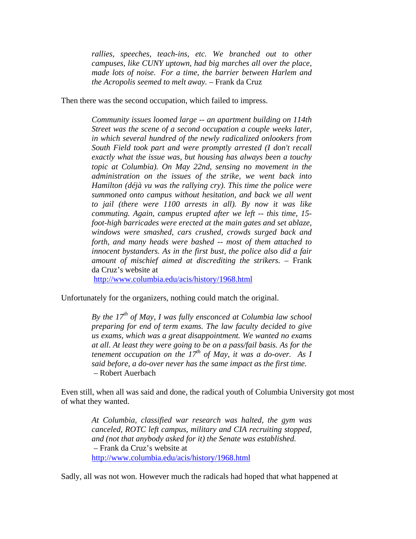*rallies, speeches, teach-ins, etc. We branched out to other campuses, like CUNY uptown, had big marches all over the place, made lots of noise. For a time, the barrier between Harlem and the Acropolis seemed to melt away.* – Frank da Cruz

Then there was the second occupation, which failed to impress.

*Community issues loomed large -- an apartment building on 114th Street was the scene of a second occupation a couple weeks later, in which several hundred of the newly radicalized onlookers from South Field took part and were promptly arrested (I don't recall exactly what the issue was, but housing has always been a touchy topic at Columbia). On May 22nd, sensing no movement in the administration on the issues of the strike, we went back into Hamilton (déjà vu was the rallying cry). This time the police were summoned onto campus without hesitation, and back we all went to jail (there were 1100 arrests in all). By now it was like commuting. Again, campus erupted after we left -- this time, 15 foot-high barricades were erected at the main gates and set ablaze, windows were smashed, cars crushed, crowds surged back and forth, and many heads were bashed -- most of them attached to innocent bystanders. As in the first bust, the police also did a fair amount of mischief aimed at discrediting the strikers.* – Frank da Cruz's website at

http://www.columbia.edu/acis/history/1968.html

Unfortunately for the organizers, nothing could match the original.

*By the 17<sup>th</sup> of May, I was fully ensconced at Columbia law school preparing for end of term exams. The law faculty decided to give us exams, which was a great disappointment. We wanted no exams at all. At least they were going to be on a pass/fail basis. As for the tenement occupation on the 17th of May, it was a do-over. As I said before, a do-over never has the same impact as the first time.* – Robert Auerbach

Even still, when all was said and done, the radical youth of Columbia University got most of what they wanted.

*At Columbia, classified war research was halted, the gym was canceled, ROTC left campus, military and CIA recruiting stopped, and (not that anybody asked for it) the Senate was established.* – Frank da Cruz's website at http://www.columbia.edu/acis/history/1968.html

Sadly, all was not won. However much the radicals had hoped that what happened at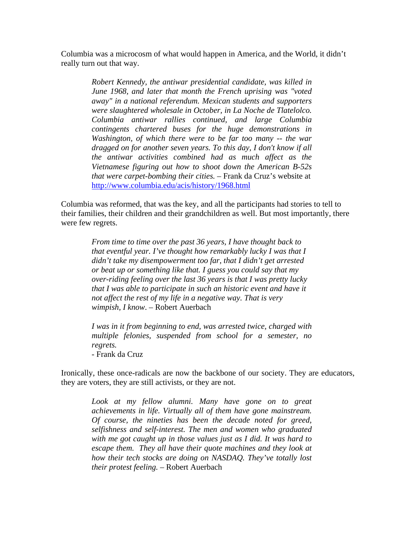Columbia was a microcosm of what would happen in America, and the World, it didn't really turn out that way.

> *Robert Kennedy, the antiwar presidential candidate, was killed in June 1968, and later that month the French uprising was "voted away" in a national referendum. Mexican students and supporters were slaughtered wholesale in October, in La Noche de Tlatelolco. Columbia antiwar rallies continued, and large Columbia contingents chartered buses for the huge demonstrations in Washington, of which there were to be far too many -- the war dragged on for another seven years. To this day, I don't know if all the antiwar activities combined had as much affect as the Vietnamese figuring out how to shoot down the American B-52s that were carpet-bombing their cities.* – Frank da Cruz's website at http://www.columbia.edu/acis/history/1968.html

Columbia was reformed, that was the key, and all the participants had stories to tell to their families, their children and their grandchildren as well. But most importantly, there were few regrets.

> *From time to time over the past 36 years, I have thought back to that eventful year. I've thought how remarkably lucky I was that I didn't take my disempowerment too far, that I didn't get arrested or beat up or something like that. I guess you could say that my over-riding feeling over the last 36 years is that I was pretty lucky that I was able to participate in such an historic event and have it not affect the rest of my life in a negative way. That is very wimpish, I know*. *–* Robert Auerbach

*I was in it from beginning to end, was arrested twice, charged with multiple felonies, suspended from school for a semester, no regrets.*

- Frank da Cruz

Ironically, these once-radicals are now the backbone of our society. They are educators, they are voters, they are still activists, or they are not.

> *Look at my fellow alumni. Many have gone on to great achievements in life. Virtually all of them have gone mainstream. Of course, the nineties has been the decade noted for greed, selfishness and self-interest. The men and women who graduated with me got caught up in those values just as I did. It was hard to escape them. They all have their quote machines and they look at how their tech stocks are doing on NASDAQ. They've totally lost their protest feeling.* – Robert Auerbach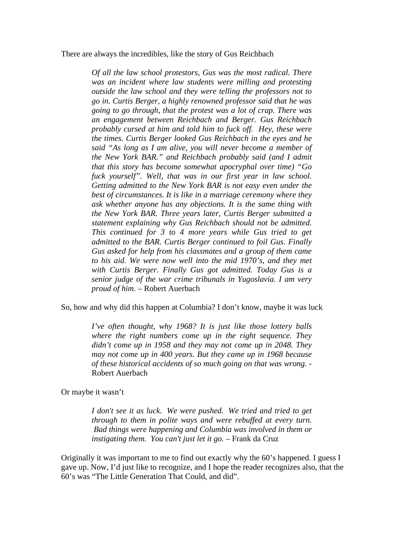There are always the incredibles, like the story of Gus Reichbach

*Of all the law school protestors, Gus was the most radical. There was an incident where law students were milling and protesting outside the law school and they were telling the professors not to go in. Curtis Berger, a highly renowned professor said that he was going to go through, that the protest was a lot of crap. There was an engagement between Reichbach and Berger. Gus Reichbach probably cursed at him and told him to fuck off. Hey, these were the times. Curtis Berger looked Gus Reichbach in the eyes and he said "As long as I am alive, you will never become a member of the New York BAR." and Reichbach probably said (and I admit that this story has become somewhat apocryphal over time) "Go fuck yourself". Well, that was in our first year in law school. Getting admitted to the New York BAR is not easy even under the best of circumstances. It is like in a marriage ceremony where they ask whether anyone has any objections. It is the same thing with the New York BAR. Three years later, Curtis Berger submitted a statement explaining why Gus Reichbach should not be admitted. This continued for 3 to 4 more years while Gus tried to get admitted to the BAR. Curtis Berger continued to foil Gus. Finally Gus asked for help from his classmates and a group of them came to his aid. We were now well into the mid 1970's, and they met with Curtis Berger. Finally Gus got admitted. Today Gus is a senior judge of the war crime tribunals in Yugoslavia. I am very proud of him.* – Robert Auerbach

So, how and why did this happen at Columbia? I don't know, maybe it was luck

*I've often thought, why 1968? It is just like those lottery balls where the right numbers come up in the right sequence. They didn't come up in 1958 and they may not come up in 2048. They may not come up in 400 years. But they came up in 1968 because of these historical accidents of so much going on that was wrong.* - Robert Auerbach

Or maybe it wasn't

*I don't see it as luck. We were pushed. We tried and tried to get through to them in polite ways and were rebuffed at every turn. Bad things were happening and Columbia was involved in them or instigating them. You can't just let it go.* – Frank da Cruz

Originally it was important to me to find out exactly why the 60's happened. I guess I gave up. Now, I'd just like to recognize, and I hope the reader recognizes also, that the 60's was "The Little Generation That Could, and did".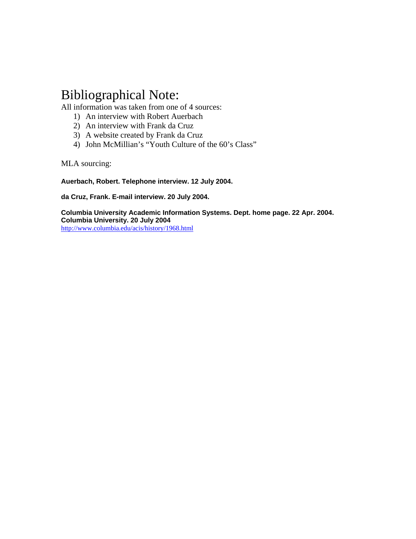# Bibliographical Note:

All information was taken from one of 4 sources:

- 1) An interview with Robert Auerbach
- 2) An interview with Frank da Cruz
- 3) A website created by Frank da Cruz
- 4) John McMillian's "Youth Culture of the 60's Class"

MLA sourcing:

**Auerbach, Robert. Telephone interview. 12 July 2004.**

**da Cruz, Frank. E-mail interview. 20 July 2004.**

**Columbia University Academic Information Systems. Dept. home page. 22 Apr. 2004. Columbia University. 20 July 2004** <http://www.columbia.edu/acis/history/1968.html>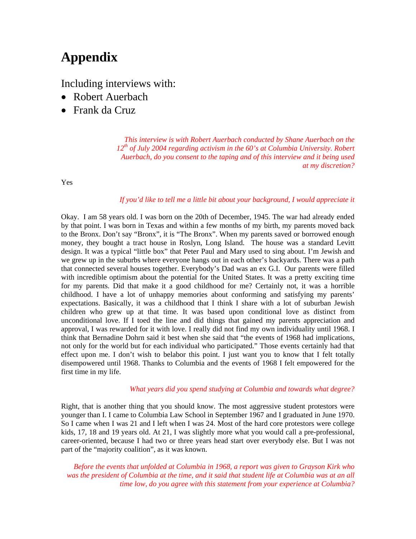# **[A](http://www.columbia.edu/acis/history/1968.html)ppendix**

Including interviews with:

- Robert Auerbach
- Frank da Cruz

*This interview is with Robert Auerbach conducted by Shane Auerbach on the 12th of July 2004 regarding activism in the 60's at Columbia University. Robert Auerbach, do you consent to the taping and of this interview and it being used at my discretion?*

Yes

## *If you'd like to tell me a little bit about your background, I would appreciate it*

Okay. I am 58 years old. I was born on the 20th of December, 1945. The war had already ended by that point. I was born in Texas and within a few months of my birth, my parents moved back to the Bronx. Don't say "Bronx", it is "The Bronx". When my parents saved or borrowed enough money, they bought a tract house in Roslyn, Long Island. The house was a standard Levitt design. It was a typical "little box" that Peter Paul and Mary used to sing about. I'm Jewish and we grew up in the suburbs where everyone hangs out in each other's backyards. There was a path that connected several houses together. Everybody's Dad was an ex G.I. Our parents were filled with incredible optimism about the potential for the United States. It was a pretty exciting time for my parents. Did that make it a good childhood for me? Certainly not, it was a horrible childhood. I have a lot of unhappy memories about conforming and satisfying my parents' expectations. Basically, it was a childhood that I think I share with a lot of suburban Jewish children who grew up at that time. It was based upon conditional love as distinct from unconditional love. If I toed the line and did things that gained my parents appreciation and approval, I was rewarded for it with love. I really did not find my own individuality until 1968. I think that Bernadine Dohrn said it best when she said that "the events of 1968 had implications, not only for the world but for each individual who participated." Those events certainly had that effect upon me. I don't wish to belabor this point. I just want you to know that I felt totally disempowered until 1968. Thanks to Columbia and the events of 1968 I felt empowered for the first time in my life.

## *What years did you spend studying at Columbia and towards what degree?*

Right, that is another thing that you should know. The most aggressive student protestors were younger than I. I came to Columbia Law School in September 1967 and I graduated in June 1970. So I came when I was 21 and I left when I was 24. Most of the hard core protestors were college kids, 17, 18 and 19 years old. At 21, I was slightly more what you would call a pre-professional, career-oriented, because I had two or three years head start over everybody else. But I was not part of the "majority coalition", as it was known.

*Before the events that unfolded at Columbia in 1968, a report was given to Grayson Kirk who was the president of Columbia at the time, and it said that student life at Columbia was at an all time low, do you agree with this statement from your experience at Columbia?*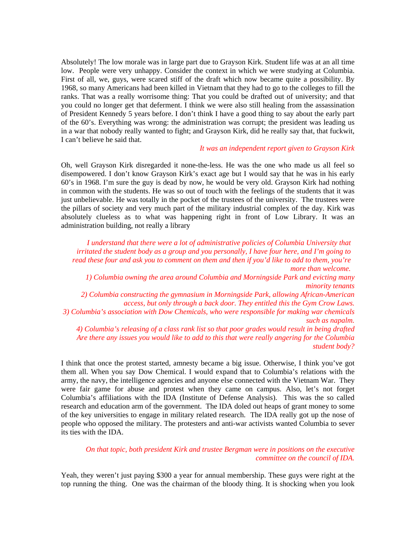Absolutely! The low morale was in large part due to Grayson Kirk. Student life was at an all time low. People were very unhappy. Consider the context in which we were studying at Columbia. First of all, we, guys, were scared stiff of the draft which now became quite a possibility. By 1968, so many Americans had been killed in Vietnam that they had to go to the colleges to fill the ranks. That was a really worrisome thing: That you could be drafted out of university; and that you could no longer get that deferment. I think we were also still healing from the assassination of President Kennedy 5 years before. I don't think I have a good thing to say about the early part of the 60's. Everything was wrong: the administration was corrupt; the president was leading us in a war that nobody really wanted to fight; and Grayson Kirk, did he really say that, that fuckwit, I can't believe he said that.

#### *It was an independent report given to Grayson Kirk*

Oh, well Grayson Kirk disregarded it none-the-less. He was the one who made us all feel so disempowered. I don't know Grayson Kirk's exact age but I would say that he was in his early 60's in 1968. I'm sure the guy is dead by now, he would be very old. Grayson Kirk had nothing in common with the students. He was so out of touch with the feelings of the students that it was just unbelievable. He was totally in the pocket of the trustees of the university. The trustees were the pillars of society and very much part of the military industrial complex of the day. Kirk was absolutely clueless as to what was happening right in front of Low Library. It was an administration building, not really a library

*I understand that there were a lot of administrative policies of Columbia University that irritated the student body as a group and you personally, I have four here, and I'm going to read these four and ask you to comment on them and then if you'd like to add to them, you're more than welcome. 1) Columbia owning the area around Columbia and Morningside Park and evicting many minority tenants 2) Columbia constructing the gymnasium in Morningside Park, allowing African-American access, but only through a back door. They entitled this the Gym Crow Laws. 3) Columbia's association with Dow Chemicals, who were responsible for making war chemicals such as napalm. 4) Columbia's releasing of a class rank list so that poor grades would result in being drafted Are there any issues you would like to add to this that were really angering for the Columbia*

*student body?*

I think that once the protest started, amnesty became a big issue. Otherwise, I think you've got them all. When you say Dow Chemical. I would expand that to Columbia's relations with the army, the navy, the intelligence agencies and anyone else connected with the Vietnam War. They were fair game for abuse and protest when they came on campus. Also, let's not forget Columbia's affiliations with the IDA (Institute of Defense Analysis). This was the so called research and education arm of the government. The IDA doled out heaps of grant money to some of the key universities to engage in military related research. The IDA really got up the nose of people who opposed the military. The protesters and anti-war activists wanted Columbia to sever its ties with the IDA.

## *On that topic, both president Kirk and trustee Bergman were in positions on the executive committee on the council of IDA.*

Yeah, they weren't just paying \$300 a year for annual membership. These guys were right at the top running the thing. One was the chairman of the bloody thing. It is shocking when you look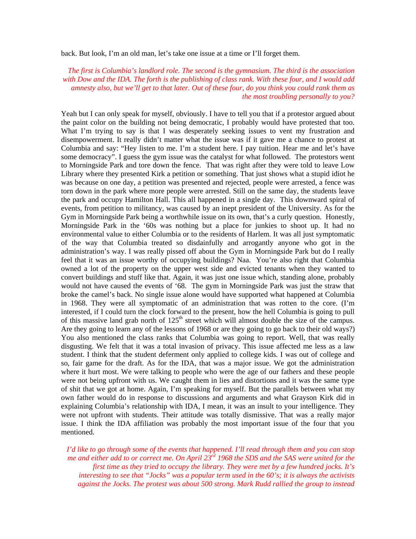back. But look, I'm an old man, let's take one issue at a time or I'll forget them.

*The first is Columbia's landlord role. The second is the gymnasium. The third is the association with Dow and the IDA. The forth is the publishing of class rank. With these four, and I would add amnesty also, but we'll get to that later. Out of these four, do you think you could rank them as the most troubling personally to you?*

Yeah but I can only speak for myself, obviously. I have to tell you that if a protestor argued about the paint color on the building not being democratic, I probably would have protested that too. What I'm trying to say is that I was desperately seeking issues to vent my frustration and disempowerment. It really didn't matter what the issue was if it gave me a chance to protest at Columbia and say: "Hey listen to me. I'm a student here. I pay tuition. Hear me and let's have some democracy". I guess the gym issue was the catalyst for what followed. The protestors went to Morningside Park and tore down the fence. That was right after they were told to leave Low Library where they presented Kirk a petition or something. That just shows what a stupid idiot he was because on one day, a petition was presented and rejected, people were arrested, a fence was torn down in the park where more people were arrested. Still on the same day, the students leave the park and occupy Hamilton Hall. This all happened in a single day. This downward spiral of events, from petition to militancy, was caused by an inept president of the University. As for the Gym in Morningside Park being a worthwhile issue on its own, that's a curly question. Honestly, Morningside Park in the '60s was nothing but a place for junkies to shoot up. It had no environmental value to either Columbia or to the residents of Harlem. It was all just symptomatic of the way that Columbia treated so disdainfully and arrogantly anyone who got in the administration's way. I was really pissed off about the Gym in Morningside Park but do I really feel that it was an issue worthy of occupying buildings? Naa. You're also right that Columbia owned a lot of the property on the upper west side and evicted tenants when they wanted to convert buildings and stuff like that. Again, it was just one issue which, standing alone, probably would not have caused the events of '68. The gym in Morningside Park was just the straw that broke the camel's back. No single issue alone would have supported what happened at Columbia in 1968. They were all symptomatic of an administration that was rotten to the core. (I'm interested, if I could turn the clock forward to the present, how the hell Columbia is going to pull of this massive land grab north of  $125<sup>th</sup>$  street which will almost double the size of the campus. Are they going to learn any of the lessons of 1968 or are they going to go back to their old ways?) You also mentioned the class ranks that Columbia was going to report. Well, that was really disgusting. We felt that it was a total invasion of privacy. This issue affected me less as a law student. I think that the student deferment only applied to college kids. I was out of college and so, fair game for the draft. As for the IDA, that was a major issue. We got the administration where it hurt most. We were talking to people who were the age of our fathers and these people were not being upfront with us. We caught them in lies and distortions and it was the same type of shit that we got at home. Again, I'm speaking for myself. But the parallels between what my own father would do in response to discussions and arguments and what Grayson Kirk did in explaining Columbia's relationship with IDA, I mean, it was an insult to your intelligence. They were not upfront with students. Their attitude was totally dismissive. That was a really major issue. I think the IDA affiliation was probably the most important issue of the four that you mentioned.

*I'd like to go through some of the events that happened. I'll read through them and you can stop me and either add to or correct me. On April 23rd 1968 the SDS and the SAS were united for the first time as they tried to occupy the library. They were met by a few hundred jocks. It's interesting to see that "Jocks" was a popular term used in the 60's; it is always the activists against the Jocks. The protest was about 500 strong. Mark Rudd rallied the group to instead*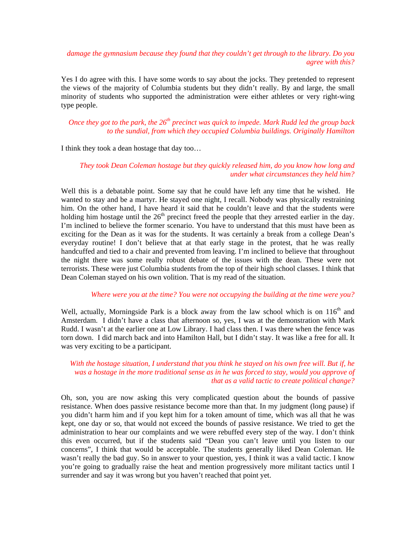## *damage the gymnasium because they found that they couldn't get through to the library. Do you agree with this?*

Yes I do agree with this. I have some words to say about the jocks. They pretended to represent the views of the majority of Columbia students but they didn't really. By and large, the small minority of students who supported the administration were either athletes or very right-wing type people.

*Once they got to the park, the 26th precinct was quick to impede. Mark Rudd led the group back to the sundial, from which they occupied Columbia buildings. Originally Hamilton*

I think they took a dean hostage that day too…

## *They took Dean Coleman hostage but they quickly released him, do you know how long and under what circumstances they held him?*

Well this is a debatable point. Some say that he could have left any time that he wished. He wanted to stay and be a martyr. He stayed one night, I recall. Nobody was physically restraining him. On the other hand, I have heard it said that he couldn't leave and that the students were holding him hostage until the  $26<sup>th</sup>$  precinct freed the people that they arrested earlier in the day. I'm inclined to believe the former scenario. You have to understand that this must have been as exciting for the Dean as it was for the students. It was certainly a break from a college Dean's everyday routine! I don't believe that at that early stage in the protest, that he was really handcuffed and tied to a chair and prevented from leaving. I'm inclined to believe that throughout the night there was some really robust debate of the issues with the dean. These were not terrorists. These were just Columbia students from the top of their high school classes. I think that Dean Coleman stayed on his own volition. That is my read of the situation.

#### *Where were you at the time? You were not occupying the building at the time were you?*

Well, actually, Morningside Park is a block away from the law school which is on  $116<sup>th</sup>$  and Amsterdam. I didn't have a class that afternoon so, yes, I was at the demonstration with Mark Rudd. I wasn't at the earlier one at Low Library. I had class then. I was there when the fence was torn down. I did march back and into Hamilton Hall, but I didn't stay. It was like a free for all. It was very exciting to be a participant.

## *With the hostage situation, I understand that you think he stayed on his own free will. But if, he was a hostage in the more traditional sense as in he was forced to stay, would you approve of that as a valid tactic to create political change?*

Oh, son, you are now asking this very complicated question about the bounds of passive resistance. When does passive resistance become more than that. In my judgment (long pause) if you didn't harm him and if you kept him for a token amount of time, which was all that he was kept, one day or so, that would not exceed the bounds of passive resistance. We tried to get the administration to hear our complaints and we were rebuffed every step of the way. I don't think this even occurred, but if the students said "Dean you can't leave until you listen to our concerns", I think that would be acceptable. The students generally liked Dean Coleman. He wasn't really the bad guy. So in answer to your question, yes, I think it was a valid tactic. I know you're going to gradually raise the heat and mention progressively more militant tactics until I surrender and say it was wrong but you haven't reached that point yet.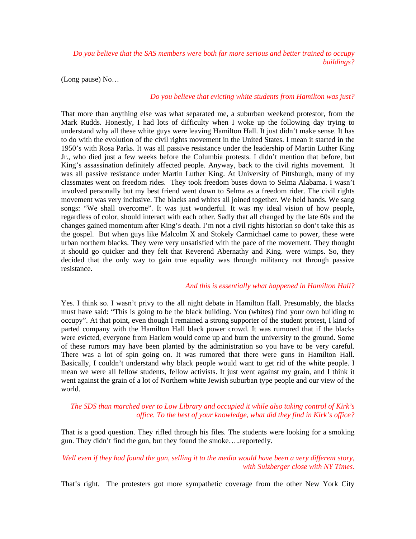*Do you believe that the SAS members were both far more serious and better trained to occupy buildings?*

(Long pause) No…

#### *Do you believe that evicting white students from Hamilton was just?*

That more than anything else was what separated me, a suburban weekend protestor, from the Mark Rudds. Honestly, I had lots of difficulty when I woke up the following day trying to understand why all these white guys were leaving Hamilton Hall. It just didn't make sense. It has to do with the evolution of the civil rights movement in the United States. I mean it started in the 1950's with Rosa Parks. It was all passive resistance under the leadership of Martin Luther King Jr., who died just a few weeks before the Columbia protests. I didn't mention that before, but King's assassination definitely affected people. Anyway, back to the civil rights movement. It was all passive resistance under Martin Luther King. At University of Pittsburgh, many of my classmates went on freedom rides. They took freedom buses down to Selma Alabama. I wasn't involved personally but my best friend went down to Selma as a freedom rider. The civil rights movement was very inclusive. The blacks and whites all joined together. We held hands. We sang songs: "We shall overcome". It was just wonderful. It was my ideal vision of how people, regardless of color, should interact with each other. Sadly that all changed by the late 60s and the changes gained momentum after King's death. I'm not a civil rights historian so don't take this as the gospel. But when guys like Malcolm X and Stokely Carmichael came to power, these were urban northern blacks. They were very unsatisfied with the pace of the movement. They thought it should go quicker and they felt that Reverend Abernathy and King. were wimps. So, they decided that the only way to gain true equality was through militancy not through passive resistance.

#### *And this is essentially what happened in Hamilton Hall?*

Yes. I think so. I wasn't privy to the all night debate in Hamilton Hall. Presumably, the blacks must have said: "This is going to be the black building. You (whites) find your own building to occupy". At that point, even though I remained a strong supporter of the student protest, I kind of parted company with the Hamilton Hall black power crowd. It was rumored that if the blacks were evicted, everyone from Harlem would come up and burn the university to the ground. Some of these rumors may have been planted by the administration so you have to be very careful. There was a lot of spin going on. It was rumored that there were guns in Hamilton Hall. Basically, I couldn't understand why black people would want to get rid of the white people. I mean we were all fellow students, fellow activists. It just went against my grain, and I think it went against the grain of a lot of Northern white Jewish suburban type people and our view of the world.

## *The SDS than marched over to Low Library and occupied it while also taking control of Kirk's office. To the best of your knowledge, what did they find in Kirk's office?*

That is a good question. They rifled through his files. The students were looking for a smoking gun. They didn't find the gun, but they found the smoke…..reportedly.

## *Well even if they had found the gun, selling it to the media would have been a very different story, with Sulzberger close with NY Times.*

That's right. The protesters got more sympathetic coverage from the other New York City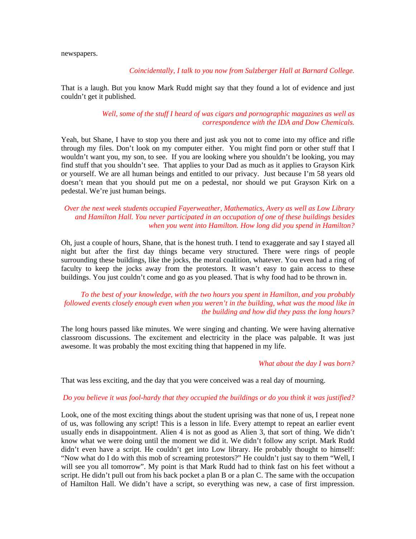newspapers.

#### *Coincidentally, I talk to you now from Sulzberger Hall at Barnard College.*

That is a laugh. But you know Mark Rudd might say that they found a lot of evidence and just couldn't get it published.

#### *Well, some of the stuff I heard of was cigars and pornographic magazines as well as correspondence with the IDA and Dow Chemicals.*

Yeah, but Shane, I have to stop you there and just ask you not to come into my office and rifle through my files. Don't look on my computer either. You might find porn or other stuff that I wouldn't want you, my son, to see. If you are looking where you shouldn't be looking, you may find stuff that you shouldn't see. That applies to your Dad as much as it applies to Grayson Kirk or yourself. We are all human beings and entitled to our privacy. Just because I'm 58 years old doesn't mean that you should put me on a pedestal, nor should we put Grayson Kirk on a pedestal. We're just human beings.

## *Over the next week students occupied Fayerweather, Mathematics, Avery as well as Low Library and Hamilton Hall. You never participated in an occupation of one of these buildings besides when you went into Hamilton. How long did you spend in Hamilton?*

Oh, just a couple of hours, Shane, that is the honest truth. I tend to exaggerate and say I stayed all night but after the first day things became very structured. There were rings of people surrounding these buildings, like the jocks, the moral coalition, whatever. You even had a ring of faculty to keep the jocks away from the protestors. It wasn't easy to gain access to these buildings. You just couldn't come and go as you pleased. That is why food had to be thrown in.

## *To the best of your knowledge, with the two hours you spent in Hamilton, and you probably followed events closely enough even when you weren't in the building, what was the mood like in the building and how did they pass the long hours?*

The long hours passed like minutes. We were singing and chanting. We were having alternative classroom discussions. The excitement and electricity in the place was palpable. It was just awesome. It was probably the most exciting thing that happened in my life.

#### *What about the day I was born?*

That was less exciting, and the day that you were conceived was a real day of mourning.

#### *Do you believe it was fool-hardy that they occupied the buildings or do you think it was justified?*

Look, one of the most exciting things about the student uprising was that none of us, I repeat none of us, was following any script! This is a lesson in life. Every attempt to repeat an earlier event usually ends in disappointment. Alien 4 is not as good as Alien 3, that sort of thing. We didn't know what we were doing until the moment we did it. We didn't follow any script. Mark Rudd didn't even have a script. He couldn't get into Low library. He probably thought to himself: "Now what do I do with this mob of screaming protestors?" He couldn't just say to them "Well, I will see you all tomorrow". My point is that Mark Rudd had to think fast on his feet without a script. He didn't pull out from his back pocket a plan B or a plan C. The same with the occupation of Hamilton Hall. We didn't have a script, so everything was new, a case of first impression.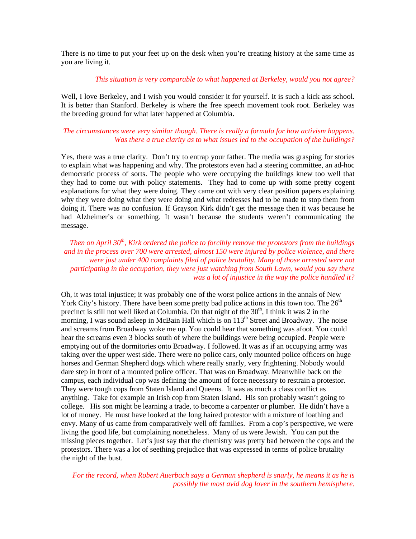There is no time to put your feet up on the desk when you're creating history at the same time as you are living it.

#### *This situation is very comparable to what happened at Berkeley, would you not agree?*

Well, I love Berkeley, and I wish you would consider it for yourself. It is such a kick ass school. It is better than Stanford. Berkeley is where the free speech movement took root. Berkeley was the breeding ground for what later happened at Columbia.

## *The circumstances were very similar though. There is really a formula for how activism happens. Was there a true clarity as to what issues led to the occupation of the buildings?*

Yes, there was a true clarity. Don't try to entrap your father. The media was grasping for stories to explain what was happening and why. The protestors even had a steering committee, an ad-hoc democratic process of sorts. The people who were occupying the buildings knew too well that they had to come out with policy statements. They had to come up with some pretty cogent explanations for what they were doing. They came out with very clear position papers explaining why they were doing what they were doing and what redresses had to be made to stop them from doing it. There was no confusion. If Grayson Kirk didn't get the message then it was because he had Alzheimer's or something. It wasn't because the students weren't communicating the message.

*Then on April 30th, Kirk ordered the police to forcibly remove the protestors from the buildings and in the process over 700 were arrested, almost 150 were injured by police violence, and there were just under 400 complaints filed of police brutality. Many of those arrested were not participating in the occupation, they were just watching from South Lawn, would you say there was a lot of injustice in the way the police handled it?*

Oh, it was total injustice; it was probably one of the worst police actions in the annals of New York City's history. There have been some pretty bad police actions in this town too. The  $26<sup>th</sup>$ precinct is still not well liked at Columbia. On that night of the  $30<sup>th</sup>$ , I think it was 2 in the morning, I was sound asleep in McBain Hall which is on 113<sup>th</sup> Street and Broadway. The noise and screams from Broadway woke me up. You could hear that something was afoot. You could hear the screams even 3 blocks south of where the buildings were being occupied. People were emptying out of the dormitories onto Broadway. I followed. It was as if an occupying army was taking over the upper west side. There were no police cars, only mounted police officers on huge horses and German Shepherd dogs which where really snarly, very frightening. Nobody would dare step in front of a mounted police officer. That was on Broadway. Meanwhile back on the campus, each individual cop was defining the amount of force necessary to restrain a protestor. They were tough cops from Staten Island and Queens. It was as much a class conflict as anything. Take for example an Irish cop from Staten Island. His son probably wasn't going to college. His son might be learning a trade, to become a carpenter or plumber. He didn't have a lot of money. He must have looked at the long haired protestor with a mixture of loathing and envy. Many of us came from comparatively well off families. From a cop's perspective, we were living the good life, but complaining nonetheless. Many of us were Jewish. You can put the missing pieces together. Let's just say that the chemistry was pretty bad between the cops and the protestors. There was a lot of seething prejudice that was expressed in terms of police brutality the night of the bust.

*For the record, when Robert Auerbach says a German shepherd is snarly, he means it as he is possibly the most avid dog lover in the southern hemisphere.*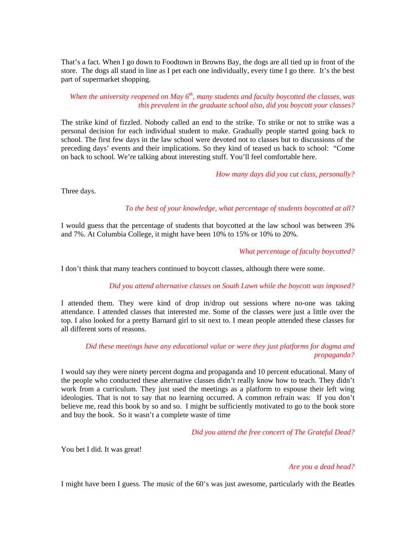That's a fact. When I go down to Foodtown in Browns Bay, the dogs are all tied up in front of the store. The dogs all stand in line as I pet each one individually, every time I go there. It's the best part of supermarket shopping.

## *When the university reopened on May 6th, many students and faculty boycotted the classes, was this prevalent in the graduate school also, did you boycott your classes?*

The strike kind of fizzled. Nobody called an end to the strike. To strike or not to strike was a personal decision for each individual student to make. Gradually people started going back to school. The first few days in the law school were devoted not to classes but to discussions of the preceding days' events and their implications. So they kind of teased us back to school: "Come on back to school. We're talking about interesting stuff. You'll feel comfortable here.

## *How many days did you cut class, personally?*

Three days.

## *To the best of your knowledge, what percentage of students boycotted at all?*

I would guess that the percentage of students that boycotted at the law school was between 3% and 7%. At Columbia College, it might have been 10% to 15% or 10% to 20%.

## *What percentage of faculty boycotted?*

I don't think that many teachers continued to boycott classes, although there were some.

## *Did you attend alternative classes on South Lawn while the boycott was imposed?*

I attended them. They were kind of drop in/drop out sessions where no-one was taking attendance. I attended classes that interested me. Some of the classes were just a little over the top. I also looked for a pretty Barnard girl to sit next to. I mean people attended these classes for all different sorts of reasons.

## *Did these meetings have any educational value or were they just platforms for dogma and propaganda?*

I would say they were ninety percent dogma and propaganda and 10 percent educational. Many of the people who conducted these alternative classes didn't really know how to teach. They didn't work from a curriculum. They just used the meetings as a platform to espouse their left wing ideologies. That is not to say that no learning occurred. A common refrain was: If you don't believe me, read this book by so and so. I might be sufficiently motivated to go to the book store and buy the book. So it wasn't a complete waste of time

*Did you attend the free concert of The Grateful Dead?*

You bet I did. It was great!

## *Are you a dead head?*

I might have been I guess. The music of the 60's was just awesome, particularly with the Beatles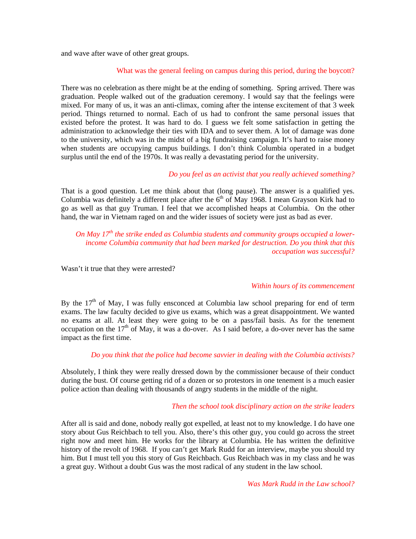and wave after wave of other great groups.

#### What was the general feeling on campus during this period, during the boycott?

There was no celebration as there might be at the ending of something. Spring arrived. There was graduation. People walked out of the graduation ceremony. I would say that the feelings were mixed. For many of us, it was an anti-climax, coming after the intense excitement of that 3 week period. Things returned to normal. Each of us had to confront the same personal issues that existed before the protest. It was hard to do. I guess we felt some satisfaction in getting the administration to acknowledge their ties with IDA and to sever them. A lot of damage was done to the university, which was in the midst of a big fundraising campaign. It's hard to raise money when students are occupying campus buildings. I don't think Columbia operated in a budget surplus until the end of the 1970s. It was really a devastating period for the university.

## *Do you feel as an activist that you really achieved something?*

That is a good question. Let me think about that (long pause). The answer is a qualified yes. Columbia was definitely a different place after the  $6<sup>th</sup>$  of May 1968. I mean Grayson Kirk had to go as well as that guy Truman. I feel that we accomplished heaps at Columbia. On the other hand, the war in Vietnam raged on and the wider issues of society were just as bad as ever.

*On May 17th the strike ended as Columbia students and community groups occupied a lowerincome Columbia community that had been marked for destruction. Do you think that this occupation was successful?*

Wasn't it true that they were arrested?

#### *Within hours of its commencement*

By the  $17<sup>th</sup>$  of May, I was fully ensconced at Columbia law school preparing for end of term exams. The law faculty decided to give us exams, which was a great disappointment. We wanted no exams at all. At least they were going to be on a pass/fail basis. As for the tenement occupation on the  $17<sup>th</sup>$  of May, it was a do-over. As I said before, a do-over never has the same impact as the first time.

## *Do you think that the police had become savvier in dealing with the Columbia activists?*

Absolutely, I think they were really dressed down by the commissioner because of their conduct during the bust. Of course getting rid of a dozen or so protestors in one tenement is a much easier police action than dealing with thousands of angry students in the middle of the night.

#### *Then the school took disciplinary action on the strike leaders*

After all is said and done, nobody really got expelled, at least not to my knowledge. I do have one story about Gus Reichbach to tell you. Also, there's this other guy, you could go across the street right now and meet him. He works for the library at Columbia. He has written the definitive history of the revolt of 1968. If you can't get Mark Rudd for an interview, maybe you should try him. But I must tell you this story of Gus Reichbach. Gus Reichbach was in my class and he was a great guy. Without a doubt Gus was the most radical of any student in the law school.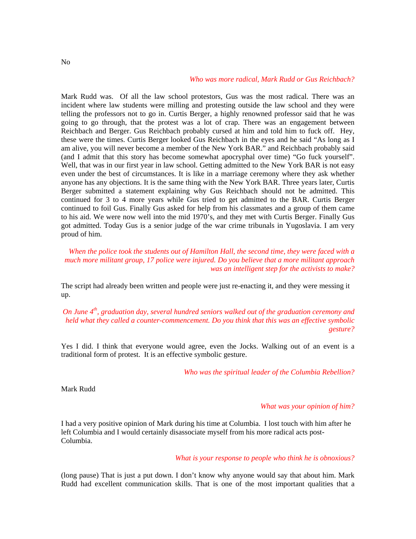## *Who was more radical, Mark Rudd or Gus Reichbach?*

Mark Rudd was. Of all the law school protestors, Gus was the most radical. There was an incident where law students were milling and protesting outside the law school and they were telling the professors not to go in. Curtis Berger, a highly renowned professor said that he was going to go through, that the protest was a lot of crap. There was an engagement between Reichbach and Berger. Gus Reichbach probably cursed at him and told him to fuck off. Hey, these were the times. Curtis Berger looked Gus Reichbach in the eyes and he said "As long as I am alive, you will never become a member of the New York BAR." and Reichbach probably said (and I admit that this story has become somewhat apocryphal over time) "Go fuck yourself". Well, that was in our first year in law school. Getting admitted to the New York BAR is not easy even under the best of circumstances. It is like in a marriage ceremony where they ask whether anyone has any objections. It is the same thing with the New York BAR. Three years later, Curtis Berger submitted a statement explaining why Gus Reichbach should not be admitted. This continued for 3 to 4 more years while Gus tried to get admitted to the BAR. Curtis Berger continued to foil Gus. Finally Gus asked for help from his classmates and a group of them came to his aid. We were now well into the mid 1970's, and they met with Curtis Berger. Finally Gus got admitted. Today Gus is a senior judge of the war crime tribunals in Yugoslavia. I am very proud of him.

*When the police took the students out of Hamilton Hall, the second time, they were faced with a much more militant group, 17 police were injured. Do you believe that a more militant approach was an intelligent step for the activists to make?*

The script had already been written and people were just re-enacting it, and they were messing it up.

*On June 4th, graduation day, several hundred seniors walked out of the graduation ceremony and held what they called a counter-commencement. Do you think that this was an effective symbolic gesture?*

Yes I did. I think that everyone would agree, even the Jocks. Walking out of an event is a traditional form of protest. It is an effective symbolic gesture.

*Who was the spiritual leader of the Columbia Rebellion?*

Mark Rudd

#### *What was your opinion of him?*

I had a very positive opinion of Mark during his time at Columbia. I lost touch with him after he left Columbia and I would certainly disassociate myself from his more radical acts post-Columbia.

#### *What is your response to people who think he is obnoxious?*

(long pause) That is just a put down. I don't know why anyone would say that about him. Mark Rudd had excellent communication skills. That is one of the most important qualities that a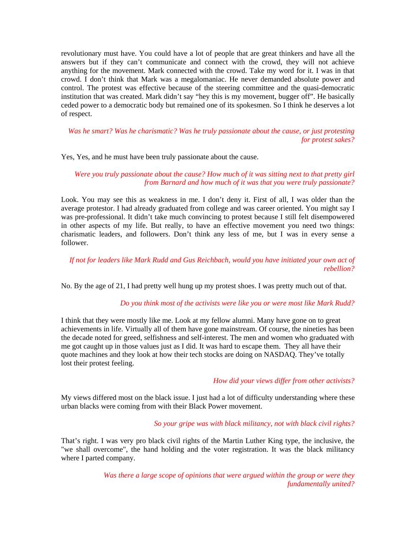revolutionary must have. You could have a lot of people that are great thinkers and have all the answers but if they can't communicate and connect with the crowd, they will not achieve anything for the movement. Mark connected with the crowd. Take my word for it. I was in that crowd. I don't think that Mark was a megalomaniac. He never demanded absolute power and control. The protest was effective because of the steering committee and the quasi-democratic institution that was created. Mark didn't say "hey this is my movement, bugger off". He basically ceded power to a democratic body but remained one of its spokesmen. So I think he deserves a lot of respect.

*Was he smart? Was he charismatic? Was he truly passionate about the cause, or just protesting for protest sakes?*

Yes, Yes, and he must have been truly passionate about the cause.

*Were you truly passionate about the cause? How much of it was sitting next to that pretty girl from Barnard and how much of it was that you were truly passionate?*

Look. You may see this as weakness in me. I don't deny it. First of all, I was older than the average protestor. I had already graduated from college and was career oriented. You might say I was pre-professional. It didn't take much convincing to protest because I still felt disempowered in other aspects of my life. But really, to have an effective movement you need two things: charismatic leaders, and followers. Don't think any less of me, but I was in every sense a follower.

## *If not for leaders like Mark Rudd and Gus Reichbach, would you have initiated your own act of rebellion?*

No. By the age of 21, I had pretty well hung up my protest shoes. I was pretty much out of that.

## *Do you think most of the activists were like you or were most like Mark Rudd?*

I think that they were mostly like me. Look at my fellow alumni. Many have gone on to great achievements in life. Virtually all of them have gone mainstream. Of course, the nineties has been the decade noted for greed, selfishness and self-interest. The men and women who graduated with me got caught up in those values just as I did. It was hard to escape them. They all have their quote machines and they look at how their tech stocks are doing on NASDAQ. They've totally lost their protest feeling.

#### *How did your views differ from other activists?*

My views differed most on the black issue. I just had a lot of difficulty understanding where these urban blacks were coming from with their Black Power movement.

#### *So your gripe was with black militancy, not with black civil rights?*

That's right. I was very pro black civil rights of the Martin Luther King type, the inclusive, the "we shall overcome", the hand holding and the voter registration. It was the black militancy where I parted company.

> *Was there a large scope of opinions that were argued within the group or were they fundamentally united?*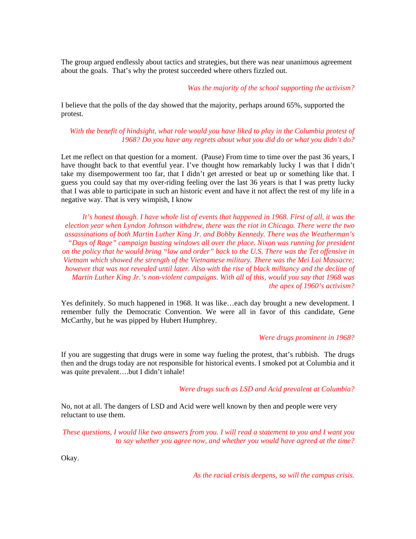The group argued endlessly about tactics and strategies, but there was near unanimous agreement about the goals. That's why the protest succeeded where others fizzled out.

*Was the majority of the school supporting the activism?*

I believe that the polls of the day showed that the majority, perhaps around 65%, supported the protest.

*With the benefit of hindsight, what role would you have liked to play in the Columbia protest of 1968? Do you have any regrets about what you did do or what you didn't do?*

Let me reflect on that question for a moment. (Pause) From time to time over the past 36 years, I have thought back to that eventful year. I've thought how remarkably lucky I was that I didn't take my disempowerment too far, that I didn't get arrested or beat up or something like that. I guess you could say that my over-riding feeling over the last 36 years is that I was pretty lucky that I was able to participate in such an historic event and have it not affect the rest of my life in a negative way. That is very wimpish, I know

*It's honest though. I have whole list of events that happened in 1968. First of all, it was the election year when Lyndon Johnson withdrew, there was the riot in Chicago. There were the two assassinations of both Martin Luther King Jr. and Bobby Kennedy. There was the Weatherman's "Days of Rage" campaign busting windows all over the place. Nixon was running for president on the policy that he would bring "law and order" back to the U.S. There was the Tet offensive in Vietnam which showed the strength of the Vietnamese military. There was the Mei Lai Massacre; however that was not revealed until later. Also with the rise of black militancy and the decline of Martin Luther King Jr.'s non-violent campaigns. With all of this, would you say that 1968 was the apex of 1960's activism?*

Yes definitely. So much happened in 1968. It was like…each day brought a new development. I remember fully the Democratic Convention. We were all in favor of this candidate, Gene McCarthy, but he was pipped by Hubert Humphrey.

#### *Were drugs prominent in 1968?*

If you are suggesting that drugs were in some way fueling the protest, that's rubbish. The drugs then and the drugs today are not responsible for historical events. I smoked pot at Columbia and it was quite prevalent….but I didn't inhale!

*Were drugs such as LSD and Acid prevalent at Columbia?*

No, not at all. The dangers of LSD and Acid were well known by then and people were very reluctant to use them.

*These questions, I would like two answers from you. I will read a statement to you and I want you to say whether you agree now, and whether you would have agreed at the time?*

Okay.

*As the racial crisis deepens, so will the campus crisis.*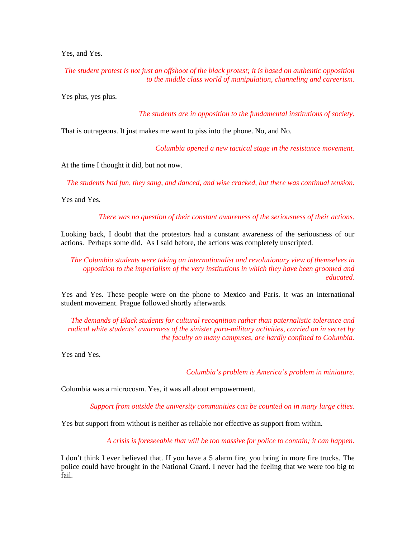Yes, and Yes.

*The student protest is not just an offshoot of the black protest; it is based on authentic opposition to the middle class world of manipulation, channeling and careerism.*

Yes plus, yes plus.

*The students are in opposition to the fundamental institutions of society.*

That is outrageous. It just makes me want to piss into the phone. No, and No.

*Columbia opened a new tactical stage in the resistance movement.*

At the time I thought it did, but not now.

*The students had fun, they sang, and danced, and wise cracked, but there was continual tension.*

Yes and Yes.

*There was no question of their constant awareness of the seriousness of their actions.*

Looking back, I doubt that the protestors had a constant awareness of the seriousness of our actions. Perhaps some did. As I said before, the actions was completely unscripted.

*The Columbia students were taking an internationalist and revolutionary view of themselves in opposition to the imperialism of the very institutions in which they have been groomed and educated.*

Yes and Yes. These people were on the phone to Mexico and Paris. It was an international student movement. Prague followed shortly afterwards.

*The demands of Black students for cultural recognition rather than paternalistic tolerance and radical white students' awareness of the sinister para-military activities, carried on in secret by the faculty on many campuses, are hardly confined to Columbia.*

Yes and Yes.

*Columbia's problem is America's problem in miniature.*

Columbia was a microcosm. Yes, it was all about empowerment.

*Support from outside the university communities can be counted on in many large cities.*

Yes but support from without is neither as reliable nor effective as support from within.

*A crisis is foreseeable that will be too massive for police to contain; it can happen.*

I don't think I ever believed that. If you have a 5 alarm fire, you bring in more fire trucks. The police could have brought in the National Guard. I never had the feeling that we were too big to fail.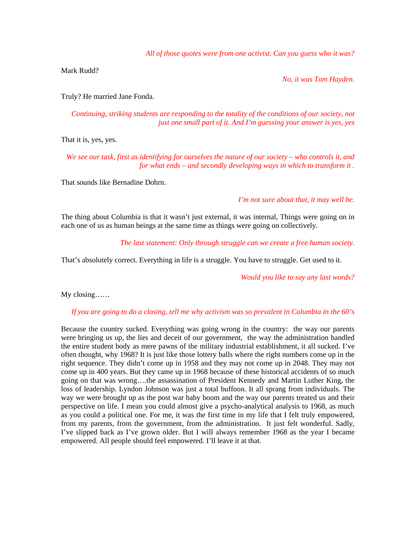*All of those quotes were from one activist. Can you guess who it was?*

Mark Rudd?

*No, it was Tom Hayden.*

Truly? He married Jane Fonda.

*Continuing, striking students are responding to the totality of the conditions of our society, not just one small part of it. And I'm guessing your answer is yes, yes*

That it is, yes, yes.

*We see our task, first as identifying for ourselves the nature of our society – who controls it, and for what ends – and secondly developing ways in which to transform it .*

That sounds like Bernadine Dohrn.

*I'm not sure about that, it may well be.*

The thing about Columbia is that it wasn't just external, it was internal, Things were going on in each one of us as human beings at the same time as things were going on collectively.

*The last statement: Only through struggle can we create a free human society.*

That's absolutely correct. Everything in life is a struggle. You have to struggle. Get used to it.

*Would you like to say any last words?*

My closing……

*If you are going to do a closing, tell me why activism was so prevalent in Columbia in the 60's*

Because the country sucked. Everything was going wrong in the country: the way our parents were bringing us up, the lies and deceit of our government, the way the administration handled the entire student body as mere pawns of the military industrial establishment, it all sucked. I've often thought, why 1968? It is just like those lottery balls where the right numbers come up in the right sequence. They didn't come up in 1958 and they may not come up in 2048. They may not come up in 400 years. But they came up in 1968 because of these historical accidents of so much going on that was wrong….the assassination of President Kennedy and Martin Luther King, the loss of leadership. Lyndon Johnson was just a total buffoon. It all sprang from individuals. The way we were brought up as the post war baby boom and the way our parents treated us and their perspective on life. I mean you could almost give a psycho-analytical analysis to 1968, as much as you could a political one. For me, it was the first time in my life that I felt truly empowered, from my parents, from the government, from the administration. It just felt wonderful. Sadly, I've slipped back as I've grown older. But I will always remember 1968 as the year I became empowered. All people should feel empowered. I'll leave it at that.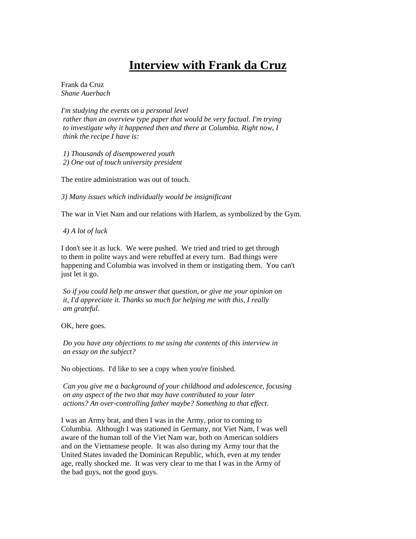## **Interview with Frank da Cruz**

Frank da Cruz *Shane Auerbach*

*I'm studying the events on a personal level rather than an overview type paper that would be very factual. I'm trying to investigate why it happened then and there at Columbia. Right now, I think the recipe I have is:*

 *1) Thousands of disempowered youth 2) One out of touch university president*

The entire administration was out of touch.

*3) Many issues which individually would be insignificant*

The war in Viet Nam and our relations with Harlem, as symbolized by the Gym.

*4) A lot of luck*

I don't see it as luck. We were pushed. We tried and tried to get through to them in polite ways and were rebuffed at every turn. Bad things were happening and Columbia was involved in them or instigating them. You can't just let it go.

 *So if you could help me answer that question, or give me your opinion on it, I'd appreciate it. Thanks so much for helping me with this, I really am grateful.*

OK, here goes.

*Do you have any objections to me using the contents of this interview in an essay on the subject?*

No objections. I'd like to see a copy when you're finished.

*Can you give me a background of your childhood and adolescence, focusing on any aspect of the two that may have contributed to your later actions? An over-controlling father maybe? Something to that effect*.

I was an Army brat, and then I was in the Army, prior to coming to Columbia. Although I was stationed in Germany, not Viet Nam, I was well aware of the human toll of the Viet Nam war, both on American soldiers and on the Vietnamese people. It was also during my Army tour that the United States invaded the Dominican Republic, which, even at my tender age, really shocked me. It was very clear to me that I was in the Army of the bad guys, not the good guys.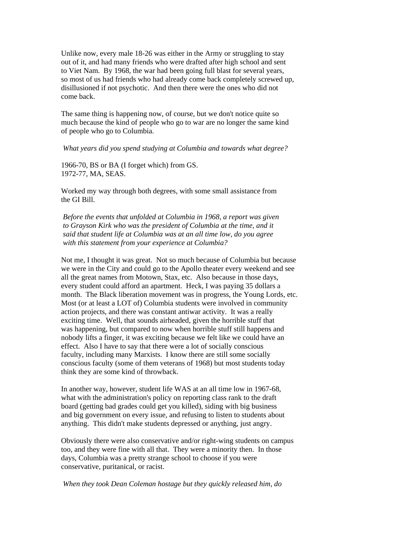Unlike now, every male 18-26 was either in the Army or struggling to stay out of it, and had many friends who were drafted after high school and sent to Viet Nam. By 1968, the war had been going full blast for several years, so most of us had friends who had already come back completely screwed up, disillusioned if not psychotic. And then there were the ones who did not come back.

The same thing is happening now, of course, but we don't notice quite so much because the kind of people who go to war are no longer the same kind of people who go to Columbia.

#### *What years did you spend studying at Columbia and towards what degree?*

1966-70, BS or BA (I forget which) from GS. 1972-77, MA, SEAS.

Worked my way through both degrees, with some small assistance from the GI Bill.

 *Before the events that unfolded at Columbia in 1968, a report was given to Grayson Kirk who was the president of Columbia at the time, and it said that student life at Columbia was at an all time low, do you agree with this statement from your experience at Columbia?*

Not me, I thought it was great. Not so much because of Columbia but because we were in the City and could go to the Apollo theater every weekend and see all the great names from Motown, Stax, etc. Also because in those days, every student could afford an apartment. Heck, I was paying 35 dollars a month. The Black liberation movement was in progress, the Young Lords, etc. Most (or at least a LOT of) Columbia students were involved in community action projects, and there was constant antiwar activity. It was a really exciting time. Well, that sounds airheaded, given the horrible stuff that was happening, but compared to now when horrible stuff still happens and nobody lifts a finger, it was exciting because we felt like we could have an effect. Also I have to say that there were a lot of socially conscious faculty, including many Marxists. I know there are still some socially conscious faculty (some of them veterans of 1968) but most students today think they are some kind of throwback.

In another way, however, student life WAS at an all time low in 1967-68, what with the administration's policy on reporting class rank to the draft board (getting bad grades could get you killed), siding with big business and big government on every issue, and refusing to listen to students about anything. This didn't make students depressed or anything, just angry.

Obviously there were also conservative and/or right-wing students on campus too, and they were fine with all that. They were a minority then. In those days, Columbia was a pretty strange school to choose if you were conservative, puritanical, or racist.

*When they took Dean Coleman hostage but they quickly released him, do*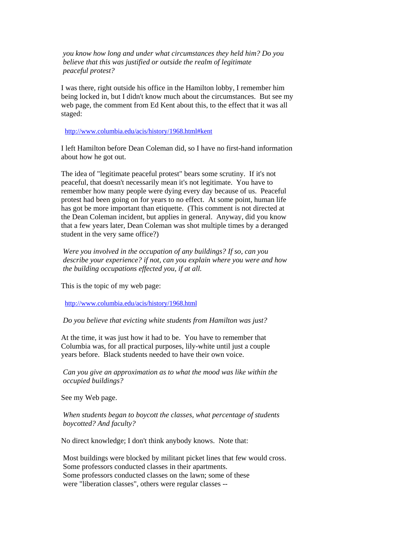*you know how long and under what circumstances they held him? Do you believe that this was justified or outside the realm of legitimate peaceful protest?*

I was there, right outside his office in the Hamilton lobby, I remember him being locked in, but I didn't know much about the circumstances. But see my web page, the comment from Ed Kent about this, to the effect that it was all staged:

<http://www.columbia.edu/acis/history/1968.html#kent>

I left Hamilton before Dean Coleman did, so I have no first-hand information about how he got out.

The idea of "legitimate peaceful protest" bears some scrutiny. If it's not peaceful, that doesn't necessarily mean it's not legitimate. You have to remember how many people were dying every day because of us. Peaceful protest had been going on for years to no effect. At some point, human life has got be more important than etiquette. (This comment is not directed at the Dean Coleman incident, but applies in general. Anyway, did you know that a few years later, Dean Coleman was shot multiple times by a deranged student in the very same office?)

*Were you involved in the occupation of any buildings? If so, can you describe your experience? if not, can you explain where you were and how the building occupations effected you, if at all.*

This is the topic of my web page:

<http://www.columbia.edu/acis/history/1968.html>

*Do you believe that evicting white students from Hamilton was just?*

At the time, it was just how it had to be. You have to remember that Columbia was, for all practical purposes, lily-white until just a couple years before. Black students needed to have their own voice.

 *Can you give an approximation as to what the mood was like within the occupied buildings?*

See my Web page.

 *When students began to boycott the classes, what percentage of students boycotted? And faculty?*

No direct knowledge; I don't think anybody knows. Note that:

 Most buildings were blocked by militant picket lines that few would cross. Some professors conducted classes in their apartments. Some professors conducted classes on the lawn; some of these were "liberation classes", others were regular classes --